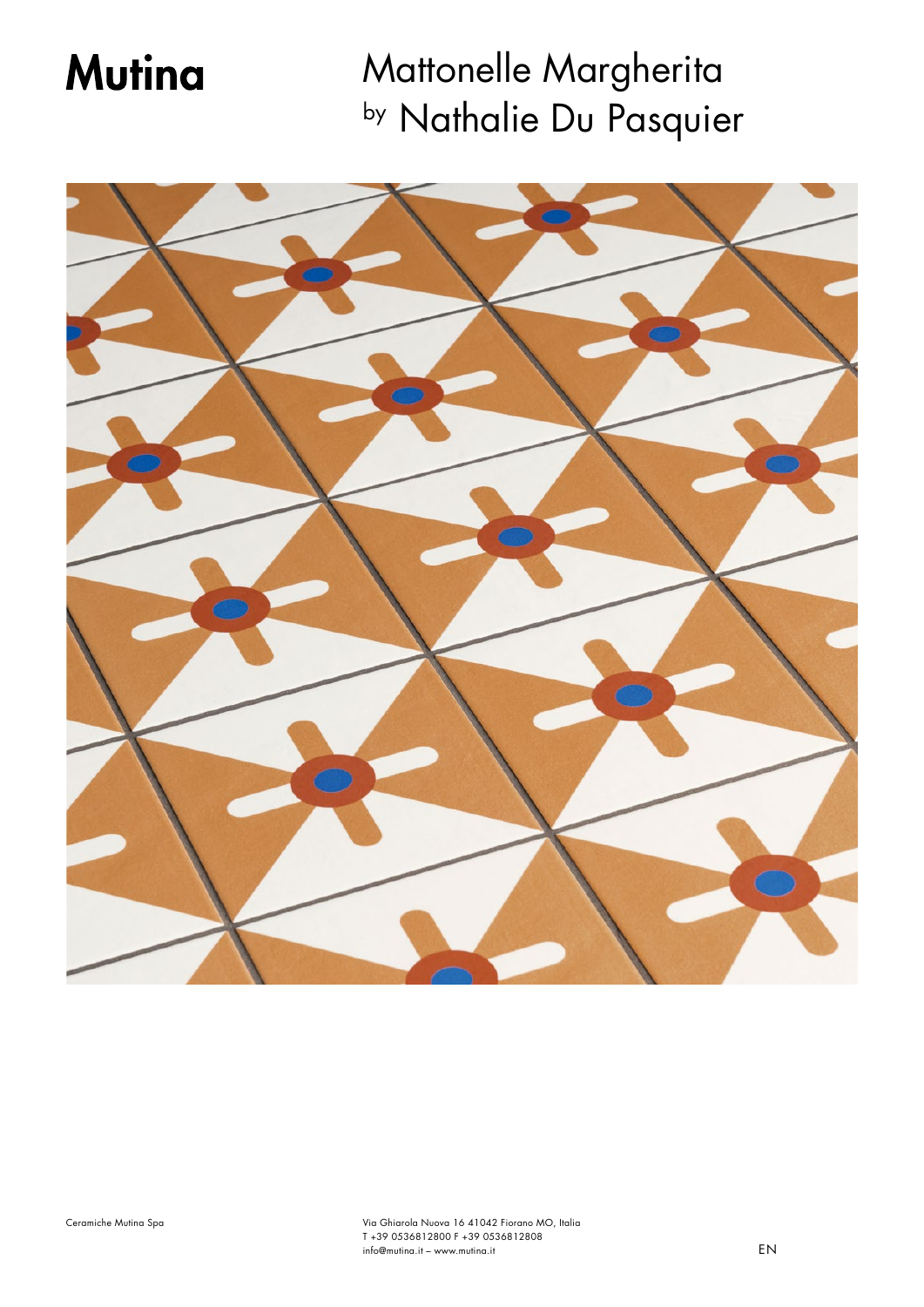# **Mutina**

Mattonelle Margherita by Nathalie Du Pasquier

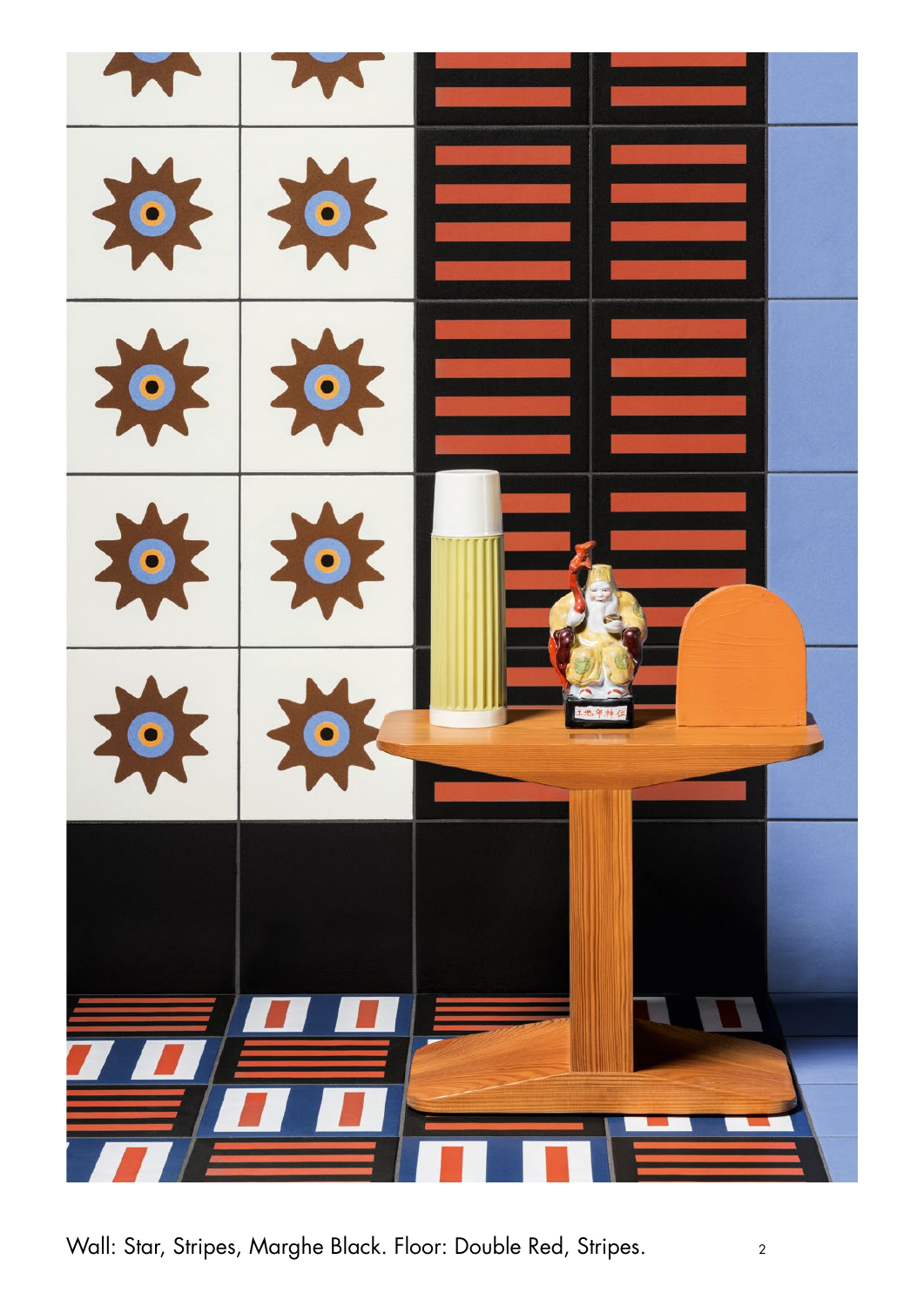

Wall: Star, Stripes, Marghe Black. Floor: Double Red, Stripes. 2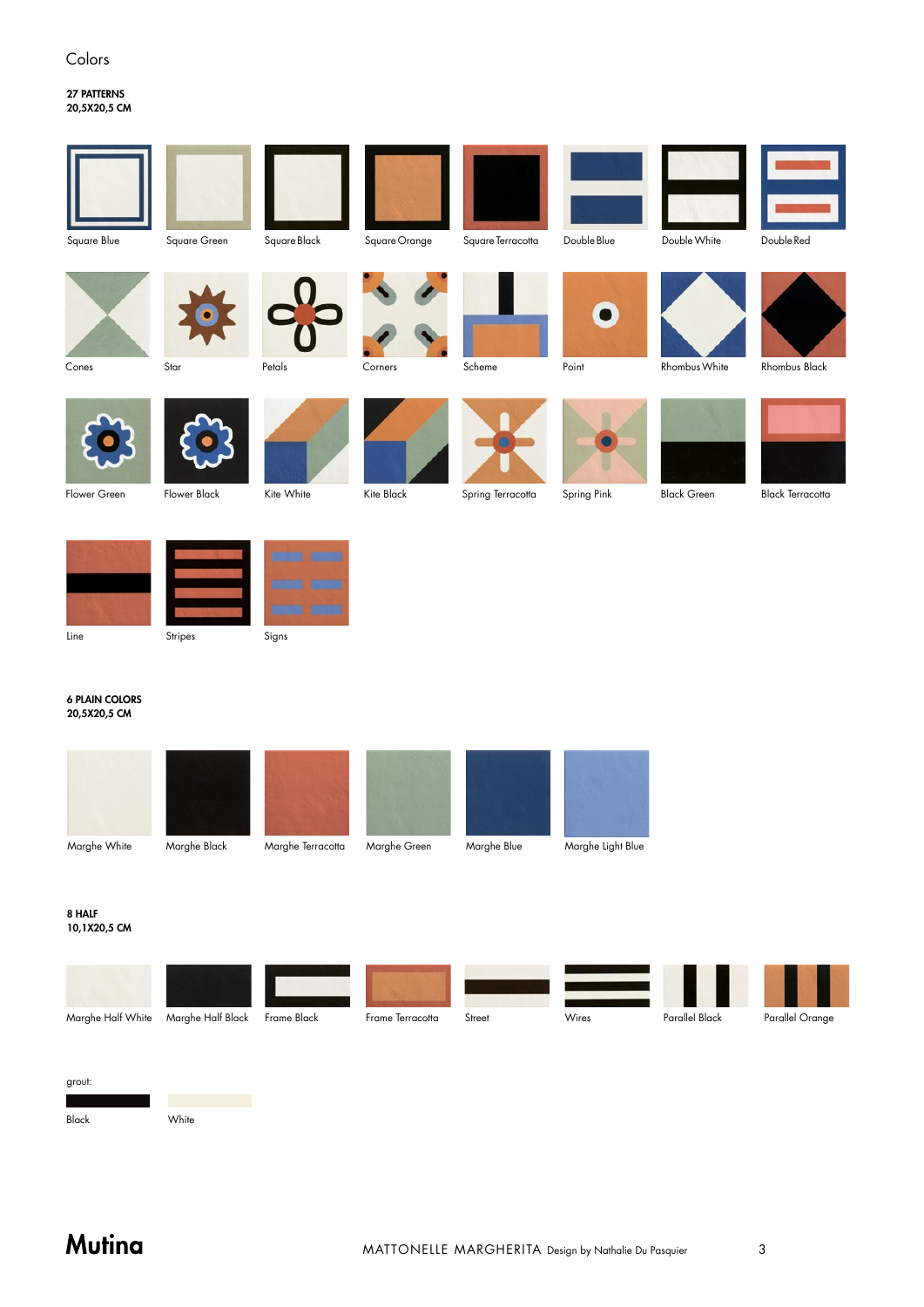### Colors

### 27 PATTERNS 20,5X20,5 CM



#### 6 PLAIN COLORS 20,5X20,5 CM



#### 8 HALF 10,1X20,5 CM





Black White

# **Mutina**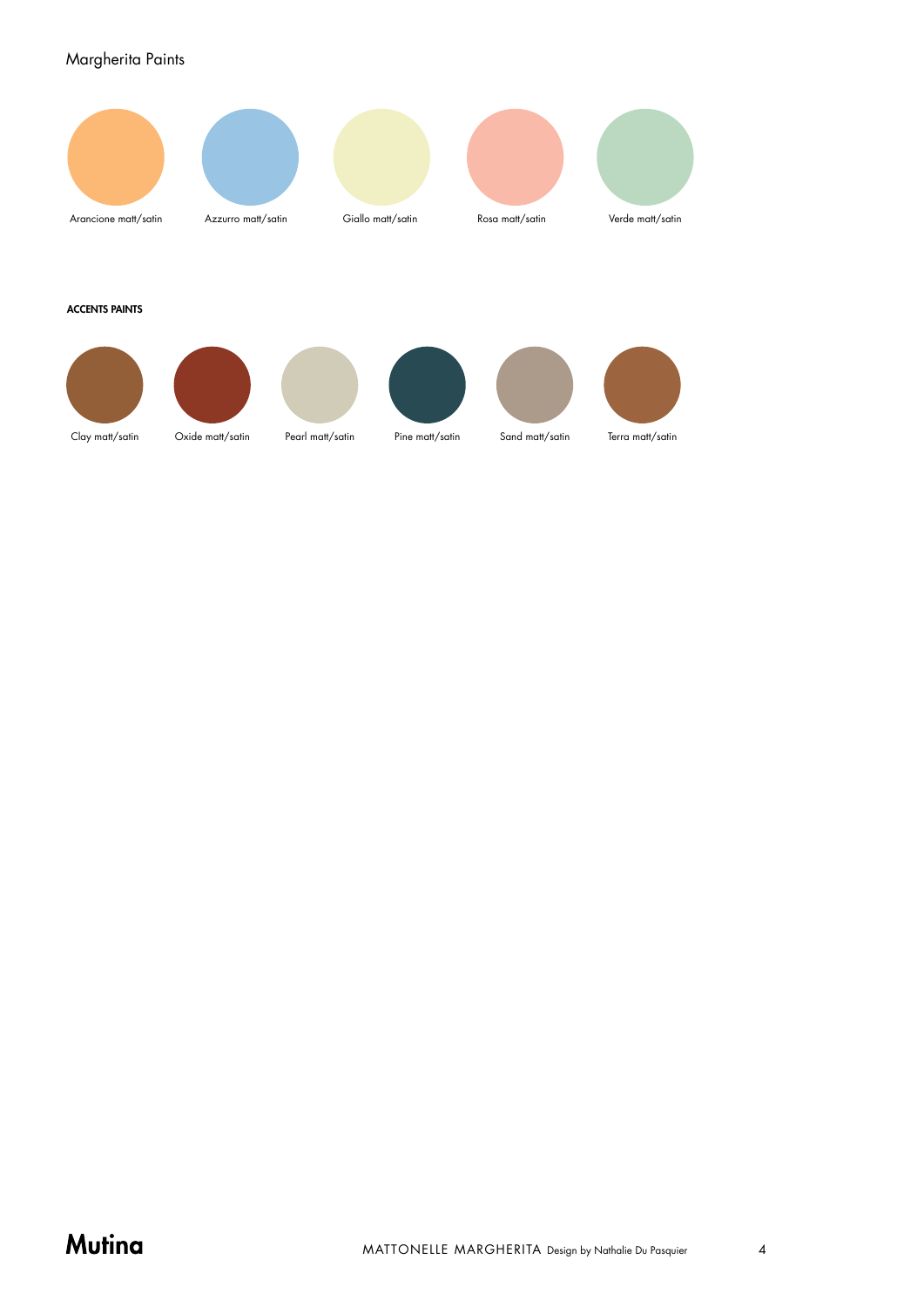### Margherita Paints



# Mutina